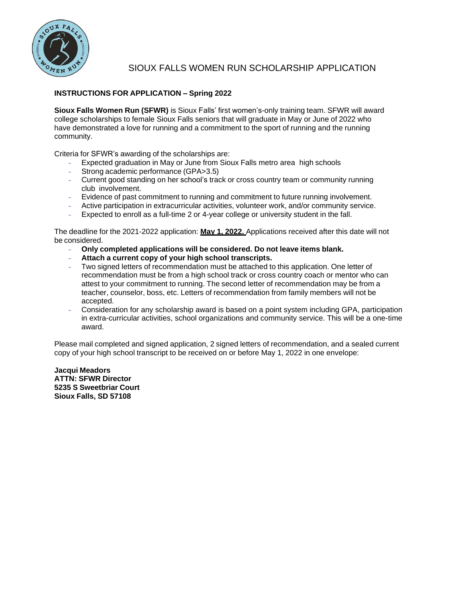

## SIOUX FALLS WOMEN RUN SCHOLARSHIP APPLICATION

## **INSTRUCTIONS FOR APPLICATION – Spring 2022**

**Sioux Falls Women Run (SFWR)** is Sioux Falls' first women's-only training team. SFWR will award college scholarships to female Sioux Falls seniors that will graduate in May or June of 2022 who have demonstrated a love for running and a commitment to the sport of running and the running community.

Criteria for SFWR's awarding of the scholarships are:

- **-** Expected graduation in May or June from Sioux Falls metro area high schools
- **-** Strong academic performance (GPA>3.5)
- **-** Current good standing on her school's track or cross country team or community running club involvement.
- **-** Evidence of past commitment to running and commitment to future running involvement.
- **-** Active participation in extracurricular activities, volunteer work, and/or community service.
- **-** Expected to enroll as a full-time 2 or 4-year college or university student in the fall.

The deadline for the 2021-2022 application: **May 1, 2022.** Applications received after this date will not be considered.

- **- Only completed applications will be considered. Do not leave items blank.**
- **- Attach a current copy of your high school transcripts.**
- **-** Two signed letters of recommendation must be attached to this application. One letter of recommendation must be from a high school track or cross country coach or mentor who can attest to your commitment to running. The second letter of recommendation may be from a teacher, counselor, boss, etc. Letters of recommendation from family members will not be accepted.
- **-** Consideration for any scholarship award is based on a point system including GPA, participation in extra-curricular activities, school organizations and community service. This will be a one-time award.

Please mail completed and signed application, 2 signed letters of recommendation, and a sealed current copy of your high school transcript to be received on or before May 1, 2022 in one envelope:

**Jacqui Meadors ATTN: SFWR Director 5235 S Sweetbriar Court Sioux Falls, SD 57108**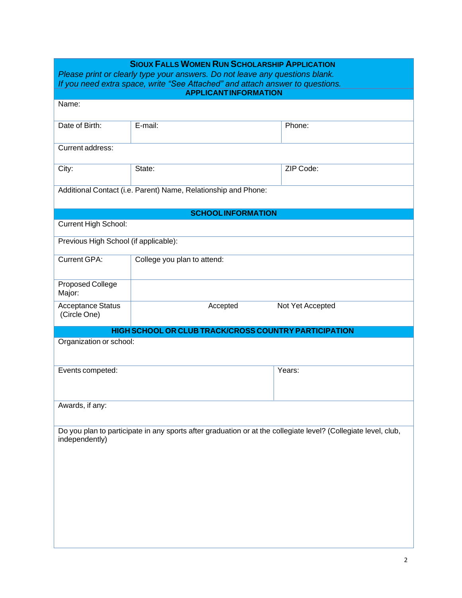| <b>SIOUX FALLS WOMEN RUN SCHOLARSHIP APPLICATION</b>                                                                                                          |                                                                                                                |  |  |  |  |  |
|---------------------------------------------------------------------------------------------------------------------------------------------------------------|----------------------------------------------------------------------------------------------------------------|--|--|--|--|--|
| Please print or clearly type your answers. Do not leave any questions blank.<br>If you need extra space, write "See Attached" and attach answer to questions. |                                                                                                                |  |  |  |  |  |
|                                                                                                                                                               |                                                                                                                |  |  |  |  |  |
|                                                                                                                                                               |                                                                                                                |  |  |  |  |  |
| E-mail:                                                                                                                                                       | Phone:                                                                                                         |  |  |  |  |  |
|                                                                                                                                                               |                                                                                                                |  |  |  |  |  |
| State:                                                                                                                                                        | ZIP Code:                                                                                                      |  |  |  |  |  |
| Additional Contact (i.e. Parent) Name, Relationship and Phone:                                                                                                |                                                                                                                |  |  |  |  |  |
| <b>SCHOOLINFORMATION</b>                                                                                                                                      |                                                                                                                |  |  |  |  |  |
|                                                                                                                                                               |                                                                                                                |  |  |  |  |  |
| Previous High School (if applicable):                                                                                                                         |                                                                                                                |  |  |  |  |  |
| College you plan to attend:                                                                                                                                   |                                                                                                                |  |  |  |  |  |
|                                                                                                                                                               |                                                                                                                |  |  |  |  |  |
| Accepted                                                                                                                                                      | Not Yet Accepted                                                                                               |  |  |  |  |  |
| HIGH SCHOOL OR CLUB TRACK/CROSS COUNTRY PARTICIPATION                                                                                                         |                                                                                                                |  |  |  |  |  |
| Organization or school:                                                                                                                                       |                                                                                                                |  |  |  |  |  |
|                                                                                                                                                               | Years:                                                                                                         |  |  |  |  |  |
|                                                                                                                                                               |                                                                                                                |  |  |  |  |  |
|                                                                                                                                                               | Do you plan to participate in any sports after graduation or at the collegiate level? (Collegiate level, club, |  |  |  |  |  |
|                                                                                                                                                               | <b>APPLICANTINFORMATION</b>                                                                                    |  |  |  |  |  |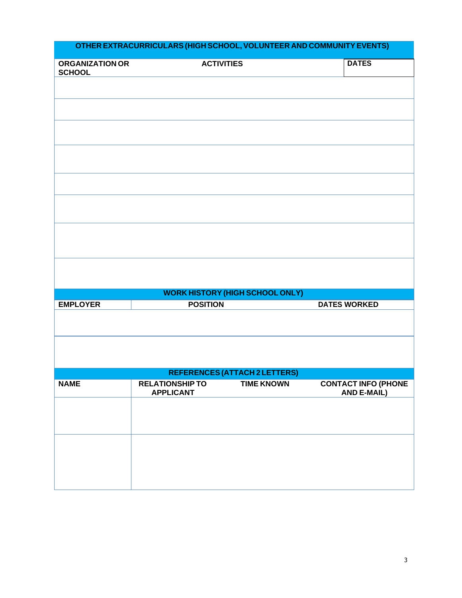| <b>ORGANIZATION OR</b><br><b>SCHOOL</b> | <b>ACTIVITIES</b>                      |                   | <b>DATES</b>               |  |
|-----------------------------------------|----------------------------------------|-------------------|----------------------------|--|
|                                         |                                        |                   |                            |  |
|                                         |                                        |                   |                            |  |
|                                         |                                        |                   |                            |  |
|                                         |                                        |                   |                            |  |
|                                         |                                        |                   |                            |  |
|                                         |                                        |                   |                            |  |
|                                         |                                        |                   |                            |  |
|                                         |                                        |                   |                            |  |
|                                         |                                        |                   |                            |  |
|                                         |                                        |                   |                            |  |
|                                         |                                        |                   |                            |  |
|                                         |                                        |                   |                            |  |
|                                         |                                        |                   |                            |  |
|                                         |                                        |                   |                            |  |
|                                         |                                        |                   |                            |  |
|                                         |                                        |                   |                            |  |
|                                         |                                        |                   |                            |  |
|                                         |                                        |                   |                            |  |
|                                         |                                        |                   |                            |  |
|                                         | <b>WORK HISTORY (HIGH SCHOOL ONLY)</b> |                   |                            |  |
| <b>EMPLOYER</b>                         | <b>POSITION</b>                        |                   | <b>DATES WORKED</b>        |  |
|                                         |                                        |                   |                            |  |
|                                         |                                        |                   |                            |  |
|                                         |                                        |                   |                            |  |
|                                         |                                        |                   |                            |  |
|                                         |                                        |                   |                            |  |
|                                         | REFERENCES (ATTACH 2 LETTERS)          |                   |                            |  |
| <b>NAME</b>                             | <b>RELATIONSHIP TO</b>                 | <b>TIME KNOWN</b> | <b>CONTACT INFO (PHONE</b> |  |
|                                         | <b>APPLICANT</b>                       |                   | <b>AND E-MAIL)</b>         |  |
|                                         |                                        |                   |                            |  |
|                                         |                                        |                   |                            |  |
|                                         |                                        |                   |                            |  |
|                                         |                                        |                   |                            |  |
|                                         |                                        |                   |                            |  |
|                                         |                                        |                   |                            |  |